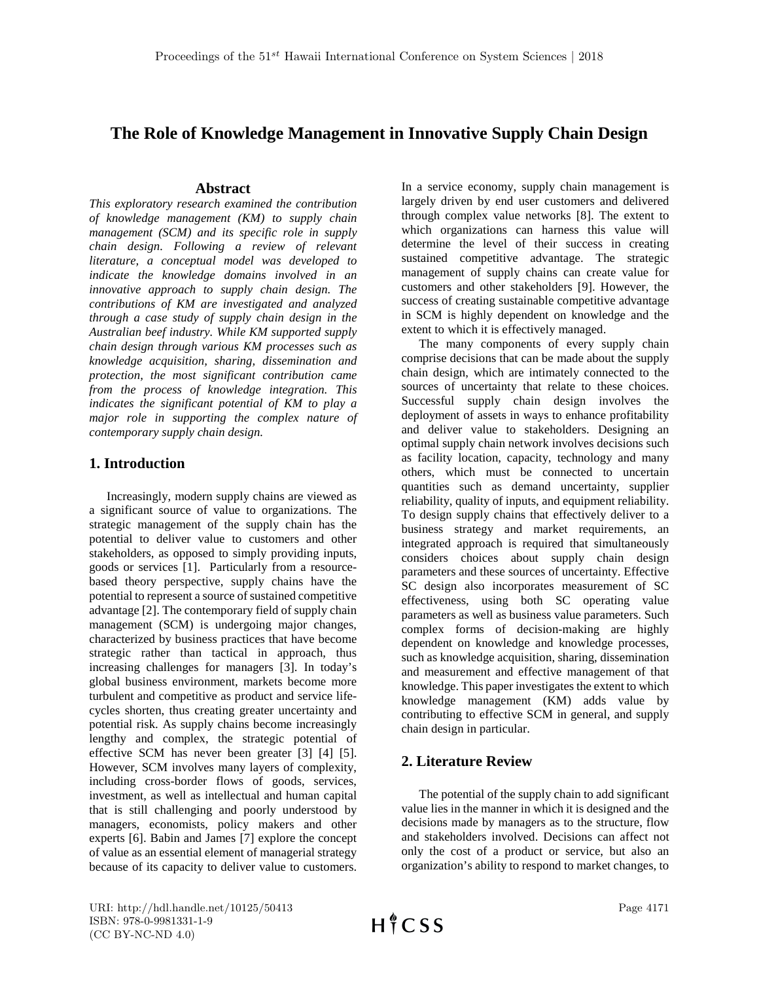# **The Role of Knowledge Management in Innovative Supply Chain Design**

#### **Abstract**

*This exploratory research examined the contribution of knowledge management (KM) to supply chain management (SCM) and its specific role in supply chain design. Following a review of relevant literature, a conceptual model was developed to indicate the knowledge domains involved in an innovative approach to supply chain design. The contributions of KM are investigated and analyzed through a case study of supply chain design in the Australian beef industry. While KM supported supply chain design through various KM processes such as knowledge acquisition, sharing, dissemination and protection, the most significant contribution came from the process of knowledge integration. This indicates the significant potential of KM to play a major role in supporting the complex nature of contemporary supply chain design.*

## **1. Introduction**

Increasingly, modern supply chains are viewed as a significant source of value to organizations. The strategic management of the supply chain has the potential to deliver value to customers and other stakeholders, as opposed to simply providing inputs, goods or services [1]. Particularly from a resourcebased theory perspective, supply chains have the potential to represent a source of sustained competitive advantage [2]. The contemporary field of supply chain management (SCM) is undergoing major changes, characterized by business practices that have become strategic rather than tactical in approach, thus increasing challenges for managers [3]. In today's global business environment, markets become more turbulent and competitive as product and service lifecycles shorten, thus creating greater uncertainty and potential risk. As supply chains become increasingly lengthy and complex, the strategic potential of effective SCM has never been greater [3] [4] [5]. However, SCM involves many layers of complexity, including cross-border flows of goods, services, investment, as well as intellectual and human capital that is still challenging and poorly understood by managers, economists, policy makers and other experts [6]. Babin and James [7] explore the concept of value as an essential element of managerial strategy because of its capacity to deliver value to customers.

In a service economy, supply chain management is largely driven by end user customers and delivered through complex value networks [8]. The extent to which organizations can harness this value will determine the level of their success in creating sustained competitive advantage. The strategic management of supply chains can create value for customers and other stakeholders [9]. However, the success of creating sustainable competitive advantage in SCM is highly dependent on knowledge and the extent to which it is effectively managed.

The many components of every supply chain comprise decisions that can be made about the supply chain design, which are intimately connected to the sources of uncertainty that relate to these choices. Successful supply chain design involves the deployment of assets in ways to enhance profitability and deliver value to stakeholders. Designing an optimal supply chain network involves decisions such as facility location, capacity, technology and many others, which must be connected to uncertain quantities such as demand uncertainty, supplier reliability, quality of inputs, and equipment reliability. To design supply chains that effectively deliver to a business strategy and market requirements, an integrated approach is required that simultaneously considers choices about supply chain design parameters and these sources of uncertainty. Effective SC design also incorporates measurement of SC effectiveness, using both SC operating value parameters as well as business value parameters. Such complex forms of decision-making are highly dependent on knowledge and knowledge processes, such as knowledge acquisition, sharing, dissemination and measurement and effective management of that knowledge. This paper investigates the extent to which knowledge management (KM) adds value by contributing to effective SCM in general, and supply chain design in particular.

## **2. Literature Review**

The potential of the supply chain to add significant value lies in the manner in which it is designed and the decisions made by managers as to the structure, flow and stakeholders involved. Decisions can affect not only the cost of a product or service, but also an organization's ability to respond to market changes, to

URI: http://hdl.handle.net/10125/50413 ISBN: 978-0-9981331-1-9 (CC BY-NC-ND 4.0)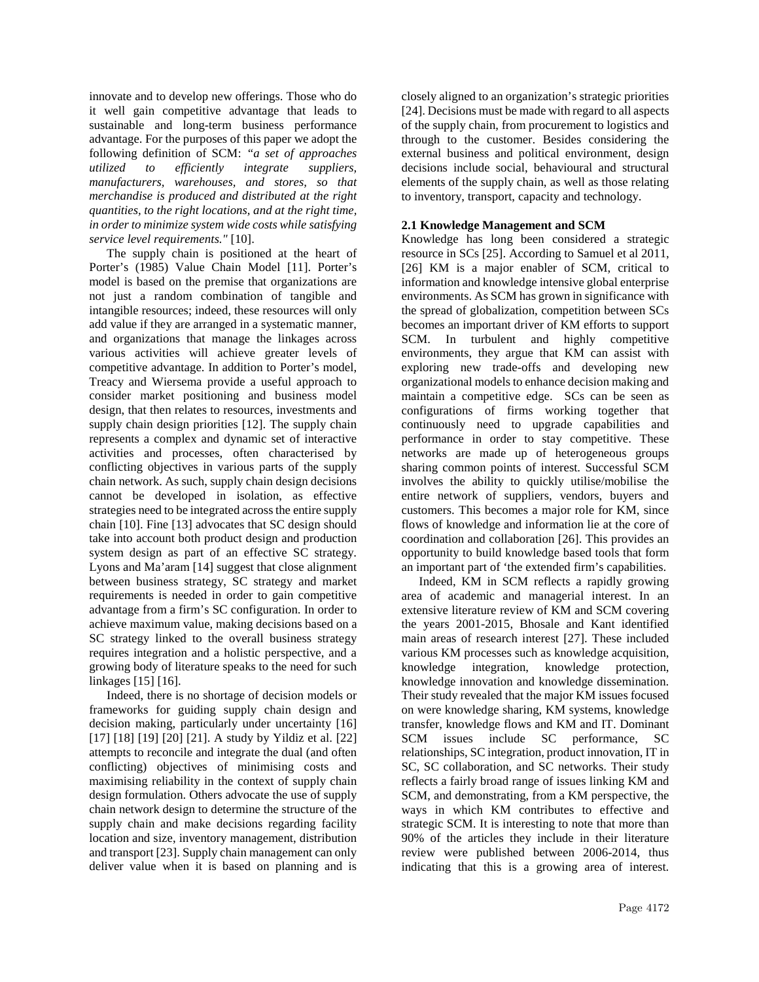innovate and to develop new offerings. Those who do it well gain competitive advantage that leads to sustainable and long-term business performance advantage. For the purposes of this paper we adopt the following definition of SCM: *"a set of approaches utilized to efficiently integrate suppliers, manufacturers, warehouses, and stores, so that merchandise is produced and distributed at the right quantities, to the right locations, and at the right time, in order to minimize system wide costs while satisfying service level requirements."* [10].

The supply chain is positioned at the heart of Porter's (1985) Value Chain Model [11]. Porter's model is based on the premise that organizations are not just a random combination of tangible and intangible resources; indeed, these resources will only add value if they are arranged in a systematic manner, and organizations that manage the linkages across various activities will achieve greater levels of competitive advantage. In addition to Porter's model, Treacy and Wiersema provide a useful approach to consider market positioning and business model design, that then relates to resources, investments and supply chain design priorities [12]. The supply chain represents a complex and dynamic set of interactive activities and processes, often characterised by conflicting objectives in various parts of the supply chain network. As such, supply chain design decisions cannot be developed in isolation, as effective strategies need to be integrated across the entire supply chain [10]. Fine [13] advocates that SC design should take into account both product design and production system design as part of an effective SC strategy. Lyons and Ma'aram [14] suggest that close alignment between business strategy, SC strategy and market requirements is needed in order to gain competitive advantage from a firm's SC configuration. In order to achieve maximum value, making decisions based on a SC strategy linked to the overall business strategy requires integration and a holistic perspective, and a growing body of literature speaks to the need for such linkages [15] [16].

Indeed, there is no shortage of decision models or frameworks for guiding supply chain design and decision making, particularly under uncertainty [16] [17] [18] [19] [20] [21]. A study by Yildiz et al. [22] attempts to reconcile and integrate the dual (and often conflicting) objectives of minimising costs and maximising reliability in the context of supply chain design formulation. Others advocate the use of supply chain network design to determine the structure of the supply chain and make decisions regarding facility location and size, inventory management, distribution and transport [23]. Supply chain management can only deliver value when it is based on planning and is

closely aligned to an organization's strategic priorities [24]. Decisions must be made with regard to all aspects of the supply chain, from procurement to logistics and through to the customer. Besides considering the external business and political environment, design decisions include social, behavioural and structural elements of the supply chain, as well as those relating to inventory, transport, capacity and technology.

#### **2.1 Knowledge Management and SCM**

Knowledge has long been considered a strategic resource in SCs [25]. According to Samuel et al 2011, [26] KM is a major enabler of SCM, critical to information and knowledge intensive global enterprise environments. As SCM has grown in significance with the spread of globalization, competition between SCs becomes an important driver of KM efforts to support SCM. In turbulent and highly competitive environments, they argue that KM can assist with exploring new trade-offs and developing new organizational models to enhance decision making and maintain a competitive edge. SCs can be seen as configurations of firms working together that continuously need to upgrade capabilities and performance in order to stay competitive. These networks are made up of heterogeneous groups sharing common points of interest. Successful SCM involves the ability to quickly utilise/mobilise the entire network of suppliers, vendors, buyers and customers. This becomes a major role for KM, since flows of knowledge and information lie at the core of coordination and collaboration [26]. This provides an opportunity to build knowledge based tools that form an important part of 'the extended firm's capabilities.

Indeed, KM in SCM reflects a rapidly growing area of academic and managerial interest. In an extensive literature review of KM and SCM covering the years 2001-2015, Bhosale and Kant identified main areas of research interest [27]. These included various KM processes such as knowledge acquisition, knowledge integration, knowledge protection, knowledge innovation and knowledge dissemination. Their study revealed that the major KM issues focused on were knowledge sharing, KM systems, knowledge transfer, knowledge flows and KM and IT. Dominant SCM issues include SC performance, SC relationships, SC integration, product innovation, IT in SC, SC collaboration, and SC networks. Their study reflects a fairly broad range of issues linking KM and SCM, and demonstrating, from a KM perspective, the ways in which KM contributes to effective and strategic SCM. It is interesting to note that more than 90% of the articles they include in their literature review were published between 2006-2014, thus indicating that this is a growing area of interest.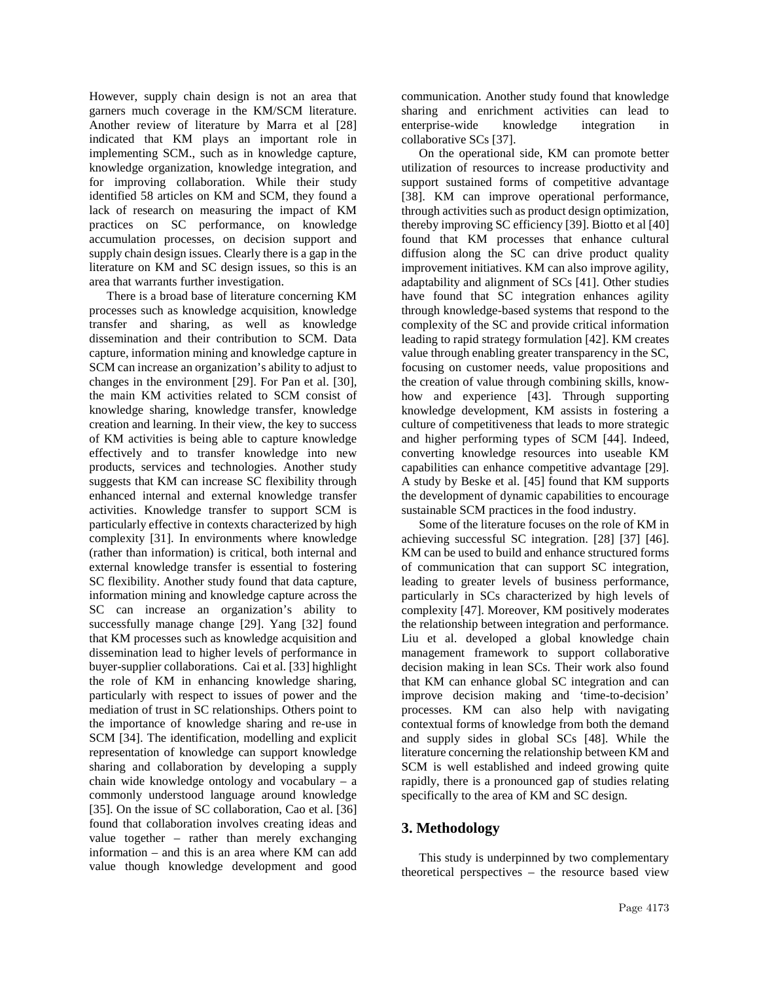However, supply chain design is not an area that garners much coverage in the KM/SCM literature. Another review of literature by Marra et al [28] indicated that KM plays an important role in implementing SCM., such as in knowledge capture, knowledge organization, knowledge integration, and for improving collaboration. While their study identified 58 articles on KM and SCM, they found a lack of research on measuring the impact of KM practices on SC performance, on knowledge accumulation processes, on decision support and supply chain design issues. Clearly there is a gap in the literature on KM and SC design issues, so this is an area that warrants further investigation.

There is a broad base of literature concerning KM processes such as knowledge acquisition, knowledge transfer and sharing, as well as knowledge dissemination and their contribution to SCM. Data capture, information mining and knowledge capture in SCM can increase an organization's ability to adjust to changes in the environment [29]. For Pan et al. [30], the main KM activities related to SCM consist of knowledge sharing, knowledge transfer, knowledge creation and learning. In their view, the key to success of KM activities is being able to capture knowledge effectively and to transfer knowledge into new products, services and technologies. Another study suggests that KM can increase SC flexibility through enhanced internal and external knowledge transfer activities. Knowledge transfer to support SCM is particularly effective in contexts characterized by high complexity [31]. In environments where knowledge (rather than information) is critical, both internal and external knowledge transfer is essential to fostering SC flexibility. Another study found that data capture, information mining and knowledge capture across the SC can increase an organization's ability to successfully manage change [29]. Yang [32] found that KM processes such as knowledge acquisition and dissemination lead to higher levels of performance in buyer-supplier collaborations. Cai et al. [33] highlight the role of KM in enhancing knowledge sharing, particularly with respect to issues of power and the mediation of trust in SC relationships. Others point to the importance of knowledge sharing and re-use in SCM [34]. The identification, modelling and explicit representation of knowledge can support knowledge sharing and collaboration by developing a supply chain wide knowledge ontology and vocabulary – a commonly understood language around knowledge [35]. On the issue of SC collaboration, Cao et al. [36] found that collaboration involves creating ideas and value together – rather than merely exchanging information – and this is an area where KM can add value though knowledge development and good

communication. Another study found that knowledge sharing and enrichment activities can lead to enterprise-wide knowledge integration in collaborative SCs [37].

On the operational side, KM can promote better utilization of resources to increase productivity and support sustained forms of competitive advantage [38]. KM can improve operational performance, through activities such as product design optimization, thereby improving SC efficiency [39]. Biotto et al [40] found that KM processes that enhance cultural diffusion along the SC can drive product quality improvement initiatives. KM can also improve agility, adaptability and alignment of SCs [41]. Other studies have found that SC integration enhances agility through knowledge-based systems that respond to the complexity of the SC and provide critical information leading to rapid strategy formulation [42]. KM creates value through enabling greater transparency in the SC, focusing on customer needs, value propositions and the creation of value through combining skills, knowhow and experience [43]. Through supporting knowledge development, KM assists in fostering a culture of competitiveness that leads to more strategic and higher performing types of SCM [44]. Indeed, converting knowledge resources into useable KM capabilities can enhance competitive advantage [29]. A study by Beske et al. [45] found that KM supports the development of dynamic capabilities to encourage sustainable SCM practices in the food industry.

Some of the literature focuses on the role of KM in achieving successful SC integration. [28] [37] [46]. KM can be used to build and enhance structured forms of communication that can support SC integration, leading to greater levels of business performance, particularly in SCs characterized by high levels of complexity [47]. Moreover, KM positively moderates the relationship between integration and performance. Liu et al. developed a global knowledge chain management framework to support collaborative decision making in lean SCs. Their work also found that KM can enhance global SC integration and can improve decision making and 'time-to-decision' processes. KM can also help with navigating contextual forms of knowledge from both the demand and supply sides in global SCs [48]. While the literature concerning the relationship between KM and SCM is well established and indeed growing quite rapidly, there is a pronounced gap of studies relating specifically to the area of KM and SC design.

### **3. Methodology**

This study is underpinned by two complementary theoretical perspectives – the resource based view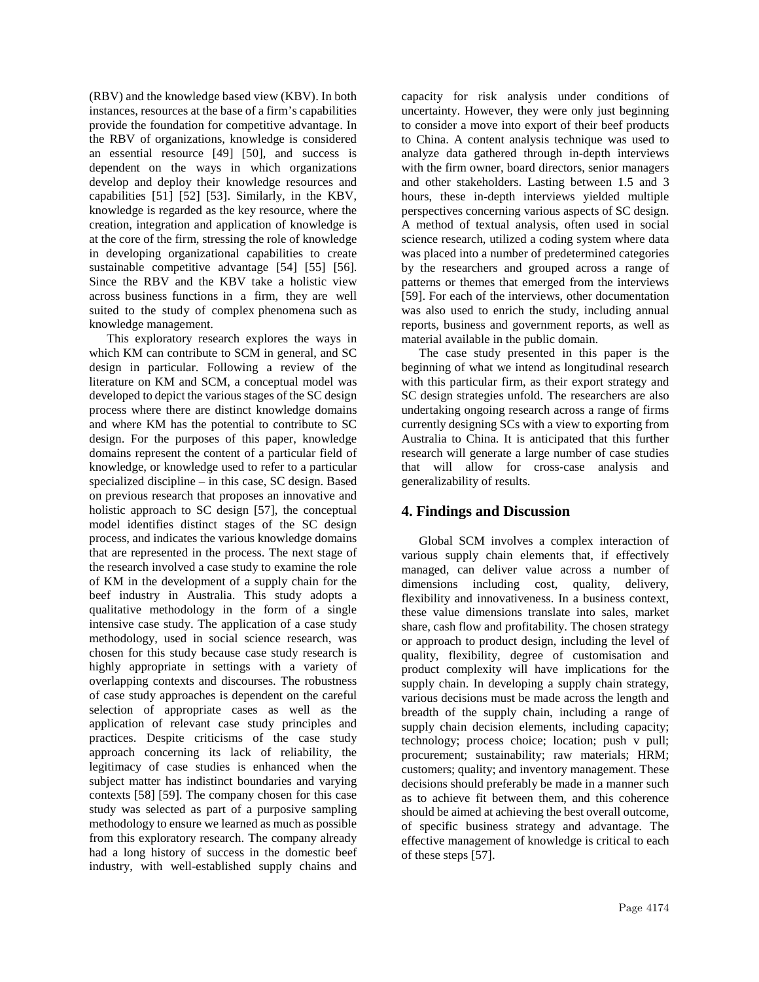(RBV) and the knowledge based view (KBV). In both instances, resources at the base of a firm's capabilities provide the foundation for competitive advantage. In the RBV of organizations, knowledge is considered an essential resource [49] [50], and success is dependent on the ways in which organizations develop and deploy their knowledge resources and capabilities [51] [52] [53]. Similarly, in the KBV, knowledge is regarded as the key resource, where the creation, integration and application of knowledge is at the core of the firm, stressing the role of knowledge in developing organizational capabilities to create sustainable competitive advantage [54] [55] [56]. Since the RBV and the KBV take a holistic view across business functions in a firm, they are well suited to the study of complex phenomena such as knowledge management.

This exploratory research explores the ways in which KM can contribute to SCM in general, and SC design in particular. Following a review of the literature on KM and SCM, a conceptual model was developed to depict the various stages of the SC design process where there are distinct knowledge domains and where KM has the potential to contribute to SC design. For the purposes of this paper, knowledge domains represent the content of a particular field of knowledge, or knowledge used to refer to a particular specialized discipline – in this case, SC design. Based on previous research that proposes an innovative and holistic approach to SC design [57], the conceptual model identifies distinct stages of the SC design process, and indicates the various knowledge domains that are represented in the process. The next stage of the research involved a case study to examine the role of KM in the development of a supply chain for the beef industry in Australia. This study adopts a qualitative methodology in the form of a single intensive case study. The application of a case study methodology, used in social science research, was chosen for this study because case study research is highly appropriate in settings with a variety of overlapping contexts and discourses. The robustness of case study approaches is dependent on the careful selection of appropriate cases as well as the application of relevant case study principles and practices. Despite criticisms of the case study approach concerning its lack of reliability, the legitimacy of case studies is enhanced when the subject matter has indistinct boundaries and varying contexts [58] [59]. The company chosen for this case study was selected as part of a purposive sampling methodology to ensure we learned as much as possible from this exploratory research. The company already had a long history of success in the domestic beef industry, with well-established supply chains and

capacity for risk analysis under conditions of uncertainty. However, they were only just beginning to consider a move into export of their beef products to China. A content analysis technique was used to analyze data gathered through in-depth interviews with the firm owner, board directors, senior managers and other stakeholders. Lasting between 1.5 and 3 hours, these in-depth interviews yielded multiple perspectives concerning various aspects of SC design. A method of textual analysis, often used in social science research, utilized a coding system where data was placed into a number of predetermined categories by the researchers and grouped across a range of patterns or themes that emerged from the interviews [59]. For each of the interviews, other documentation was also used to enrich the study, including annual reports, business and government reports, as well as material available in the public domain.

The case study presented in this paper is the beginning of what we intend as longitudinal research with this particular firm, as their export strategy and SC design strategies unfold. The researchers are also undertaking ongoing research across a range of firms currently designing SCs with a view to exporting from Australia to China. It is anticipated that this further research will generate a large number of case studies that will allow for cross-case analysis and generalizability of results.

### **4. Findings and Discussion**

Global SCM involves a complex interaction of various supply chain elements that, if effectively managed, can deliver value across a number of dimensions including cost, quality, delivery, flexibility and innovativeness. In a business context, these value dimensions translate into sales, market share, cash flow and profitability. The chosen strategy or approach to product design, including the level of quality, flexibility, degree of customisation and product complexity will have implications for the supply chain. In developing a supply chain strategy, various decisions must be made across the length and breadth of the supply chain, including a range of supply chain decision elements, including capacity; technology; process choice; location; push v pull; procurement; sustainability; raw materials; HRM; customers; quality; and inventory management. These decisions should preferably be made in a manner such as to achieve fit between them, and this coherence should be aimed at achieving the best overall outcome, of specific business strategy and advantage. The effective management of knowledge is critical to each of these steps [57].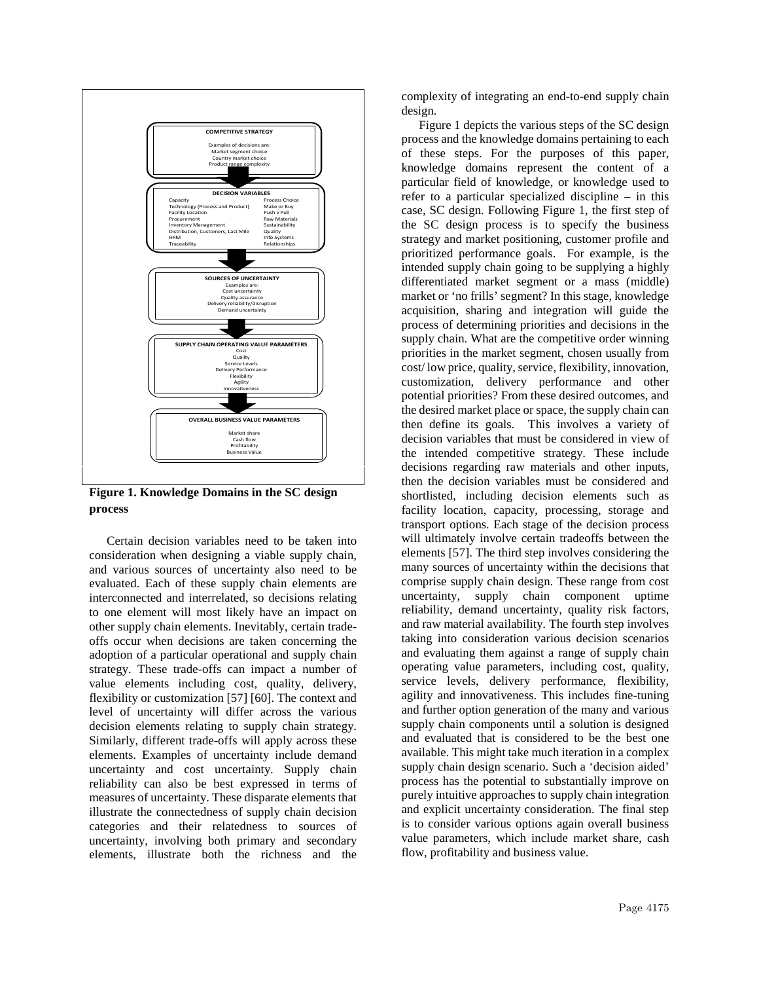

**Figure 1. Knowledge Domains in the SC design process**

Certain decision variables need to be taken into consideration when designing a viable supply chain, and various sources of uncertainty also need to be evaluated. Each of these supply chain elements are interconnected and interrelated, so decisions relating to one element will most likely have an impact on other supply chain elements. Inevitably, certain tradeoffs occur when decisions are taken concerning the adoption of a particular operational and supply chain strategy. These trade-offs can impact a number of value elements including cost, quality, delivery, flexibility or customization [57] [60]. The context and level of uncertainty will differ across the various decision elements relating to supply chain strategy. Similarly, different trade-offs will apply across these elements. Examples of uncertainty include demand uncertainty and cost uncertainty. Supply chain reliability can also be best expressed in terms of measures of uncertainty. These disparate elements that illustrate the connectedness of supply chain decision categories and their relatedness to sources of uncertainty, involving both primary and secondary elements, illustrate both the richness and the

complexity of integrating an end-to-end supply chain design.

Figure 1 depicts the various steps of the SC design process and the knowledge domains pertaining to each of these steps. For the purposes of this paper, knowledge domains represent the content of a particular field of knowledge, or knowledge used to refer to a particular specialized discipline – in this case, SC design. Following Figure 1, the first step of the SC design process is to specify the business strategy and market positioning, customer profile and prioritized performance goals. For example, is the intended supply chain going to be supplying a highly differentiated market segment or a mass (middle) market or 'no frills' segment? In this stage, knowledge acquisition, sharing and integration will guide the process of determining priorities and decisions in the supply chain. What are the competitive order winning priorities in the market segment, chosen usually from cost/ low price, quality, service, flexibility, innovation, customization, delivery performance and other potential priorities? From these desired outcomes, and the desired market place or space, the supply chain can then define its goals. This involves a variety of decision variables that must be considered in view of the intended competitive strategy. These include decisions regarding raw materials and other inputs, then the decision variables must be considered and shortlisted, including decision elements such as facility location, capacity, processing, storage and transport options. Each stage of the decision process will ultimately involve certain tradeoffs between the elements [57]. The third step involves considering the many sources of uncertainty within the decisions that comprise supply chain design. These range from cost uncertainty, supply chain component uptime reliability, demand uncertainty, quality risk factors, and raw material availability. The fourth step involves taking into consideration various decision scenarios and evaluating them against a range of supply chain operating value parameters, including cost, quality, service levels, delivery performance, flexibility, agility and innovativeness. This includes fine-tuning and further option generation of the many and various supply chain components until a solution is designed and evaluated that is considered to be the best one available. This might take much iteration in a complex supply chain design scenario. Such a 'decision aided' process has the potential to substantially improve on purely intuitive approaches to supply chain integration and explicit uncertainty consideration. The final step is to consider various options again overall business value parameters, which include market share, cash flow, profitability and business value.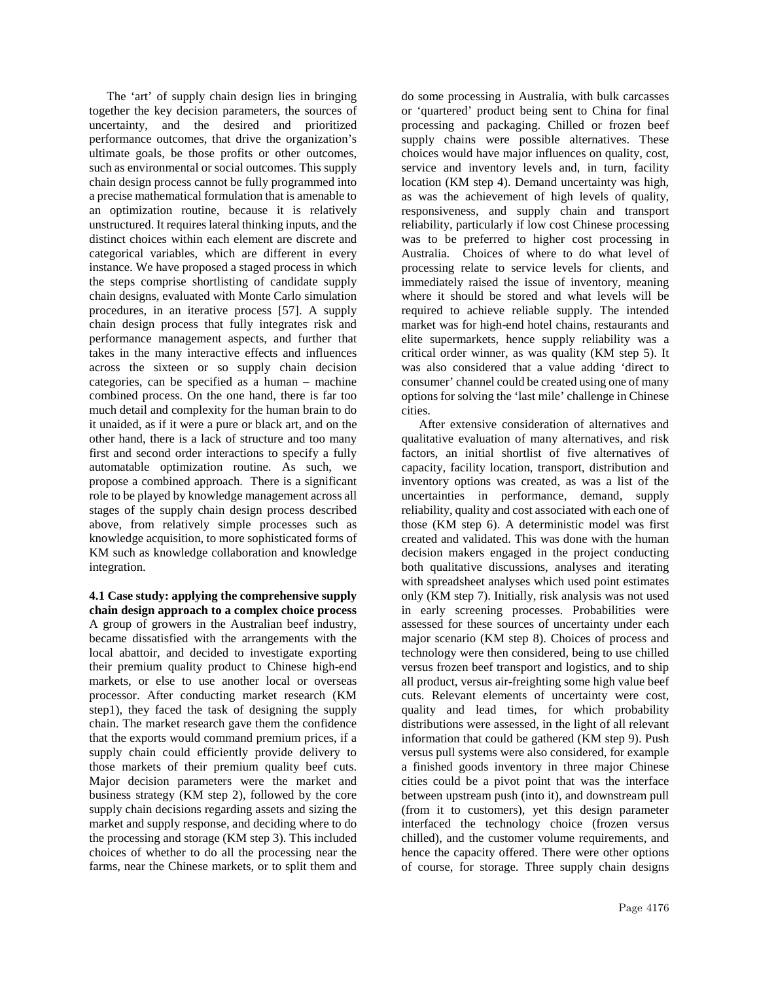The 'art' of supply chain design lies in bringing together the key decision parameters, the sources of uncertainty, and the desired and prioritized performance outcomes, that drive the organization's ultimate goals, be those profits or other outcomes, such as environmental or social outcomes. This supply chain design process cannot be fully programmed into a precise mathematical formulation that is amenable to an optimization routine, because it is relatively unstructured. It requires lateral thinking inputs, and the distinct choices within each element are discrete and categorical variables, which are different in every instance. We have proposed a staged process in which the steps comprise shortlisting of candidate supply chain designs, evaluated with Monte Carlo simulation procedures, in an iterative process [57]. A supply chain design process that fully integrates risk and performance management aspects, and further that takes in the many interactive effects and influences across the sixteen or so supply chain decision categories, can be specified as a human – machine combined process. On the one hand, there is far too much detail and complexity for the human brain to do it unaided, as if it were a pure or black art, and on the other hand, there is a lack of structure and too many first and second order interactions to specify a fully automatable optimization routine. As such, we propose a combined approach. There is a significant role to be played by knowledge management across all stages of the supply chain design process described above, from relatively simple processes such as knowledge acquisition, to more sophisticated forms of KM such as knowledge collaboration and knowledge integration.

**4.1 Case study: applying the comprehensive supply chain design approach to a complex choice process** A group of growers in the Australian beef industry, became dissatisfied with the arrangements with the local abattoir, and decided to investigate exporting their premium quality product to Chinese high-end markets, or else to use another local or overseas processor. After conducting market research (KM step1), they faced the task of designing the supply chain. The market research gave them the confidence that the exports would command premium prices, if a supply chain could efficiently provide delivery to those markets of their premium quality beef cuts. Major decision parameters were the market and business strategy (KM step 2), followed by the core supply chain decisions regarding assets and sizing the market and supply response, and deciding where to do the processing and storage (KM step 3). This included choices of whether to do all the processing near the farms, near the Chinese markets, or to split them and

do some processing in Australia, with bulk carcasses or 'quartered' product being sent to China for final processing and packaging. Chilled or frozen beef supply chains were possible alternatives. These choices would have major influences on quality, cost, service and inventory levels and, in turn, facility location (KM step 4). Demand uncertainty was high, as was the achievement of high levels of quality, responsiveness, and supply chain and transport reliability, particularly if low cost Chinese processing was to be preferred to higher cost processing in Australia. Choices of where to do what level of processing relate to service levels for clients, and immediately raised the issue of inventory, meaning where it should be stored and what levels will be required to achieve reliable supply. The intended market was for high-end hotel chains, restaurants and elite supermarkets, hence supply reliability was a critical order winner, as was quality (KM step 5). It was also considered that a value adding 'direct to consumer' channel could be created using one of many options for solving the 'last mile' challenge in Chinese cities.

After extensive consideration of alternatives and qualitative evaluation of many alternatives, and risk factors, an initial shortlist of five alternatives of capacity, facility location, transport, distribution and inventory options was created, as was a list of the uncertainties in performance, demand, supply reliability, quality and cost associated with each one of those (KM step 6). A deterministic model was first created and validated. This was done with the human decision makers engaged in the project conducting both qualitative discussions, analyses and iterating with spreadsheet analyses which used point estimates only (KM step 7). Initially, risk analysis was not used in early screening processes. Probabilities were assessed for these sources of uncertainty under each major scenario (KM step 8). Choices of process and technology were then considered, being to use chilled versus frozen beef transport and logistics, and to ship all product, versus air-freighting some high value beef cuts. Relevant elements of uncertainty were cost, quality and lead times, for which probability distributions were assessed, in the light of all relevant information that could be gathered (KM step 9). Push versus pull systems were also considered, for example a finished goods inventory in three major Chinese cities could be a pivot point that was the interface between upstream push (into it), and downstream pull (from it to customers), yet this design parameter interfaced the technology choice (frozen versus chilled), and the customer volume requirements, and hence the capacity offered. There were other options of course, for storage. Three supply chain designs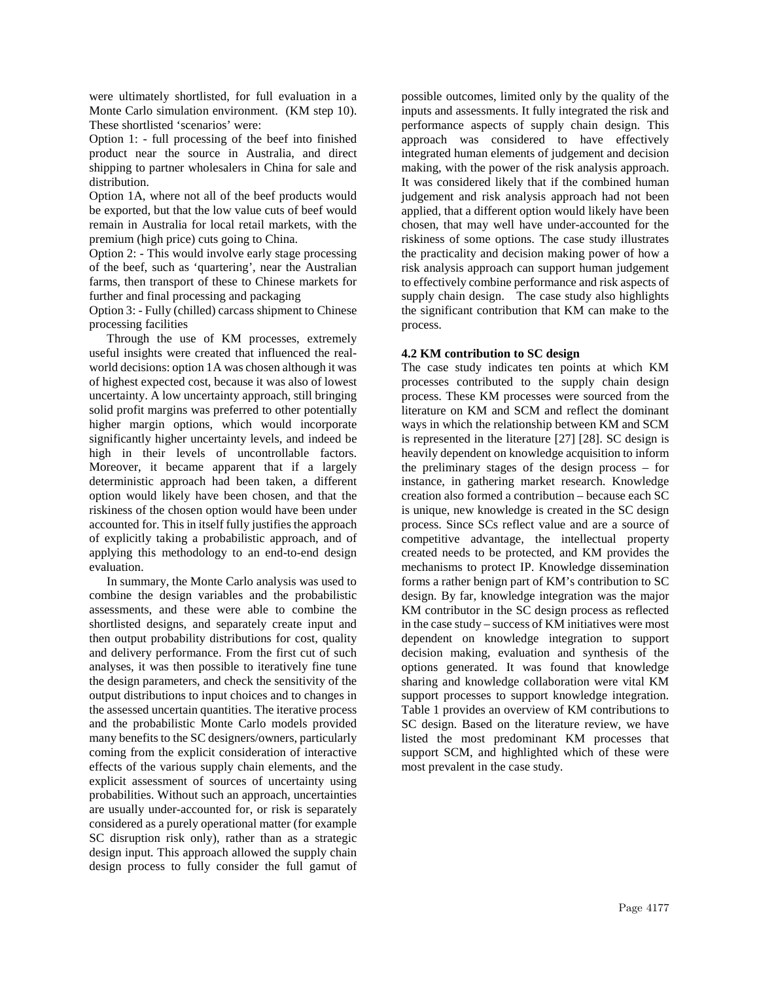were ultimately shortlisted, for full evaluation in a Monte Carlo simulation environment. (KM step 10). These shortlisted 'scenarios' were:

Option 1: - full processing of the beef into finished product near the source in Australia, and direct shipping to partner wholesalers in China for sale and distribution.

Option 1A, where not all of the beef products would be exported, but that the low value cuts of beef would remain in Australia for local retail markets, with the premium (high price) cuts going to China.

Option 2: - This would involve early stage processing of the beef, such as 'quartering', near the Australian farms, then transport of these to Chinese markets for further and final processing and packaging

Option 3: - Fully (chilled) carcass shipment to Chinese processing facilities

Through the use of KM processes, extremely useful insights were created that influenced the realworld decisions: option 1A was chosen although it was of highest expected cost, because it was also of lowest uncertainty. A low uncertainty approach, still bringing solid profit margins was preferred to other potentially higher margin options, which would incorporate significantly higher uncertainty levels, and indeed be high in their levels of uncontrollable factors. Moreover, it became apparent that if a largely deterministic approach had been taken, a different option would likely have been chosen, and that the riskiness of the chosen option would have been under accounted for. This in itself fully justifies the approach of explicitly taking a probabilistic approach, and of applying this methodology to an end-to-end design evaluation.

In summary, the Monte Carlo analysis was used to combine the design variables and the probabilistic assessments, and these were able to combine the shortlisted designs, and separately create input and then output probability distributions for cost, quality and delivery performance. From the first cut of such analyses, it was then possible to iteratively fine tune the design parameters, and check the sensitivity of the output distributions to input choices and to changes in the assessed uncertain quantities. The iterative process and the probabilistic Monte Carlo models provided many benefits to the SC designers/owners, particularly coming from the explicit consideration of interactive effects of the various supply chain elements, and the explicit assessment of sources of uncertainty using probabilities. Without such an approach, uncertainties are usually under-accounted for, or risk is separately considered as a purely operational matter (for example SC disruption risk only), rather than as a strategic design input. This approach allowed the supply chain design process to fully consider the full gamut of

possible outcomes, limited only by the quality of the inputs and assessments. It fully integrated the risk and performance aspects of supply chain design. This approach was considered to have effectively integrated human elements of judgement and decision making, with the power of the risk analysis approach. It was considered likely that if the combined human judgement and risk analysis approach had not been applied, that a different option would likely have been chosen, that may well have under-accounted for the riskiness of some options. The case study illustrates the practicality and decision making power of how a risk analysis approach can support human judgement to effectively combine performance and risk aspects of supply chain design. The case study also highlights the significant contribution that KM can make to the process.

#### **4.2 KM contribution to SC design**

The case study indicates ten points at which KM processes contributed to the supply chain design process. These KM processes were sourced from the literature on KM and SCM and reflect the dominant ways in which the relationship between KM and SCM is represented in the literature [27] [28]. SC design is heavily dependent on knowledge acquisition to inform the preliminary stages of the design process – for instance, in gathering market research. Knowledge creation also formed a contribution – because each SC is unique, new knowledge is created in the SC design process. Since SCs reflect value and are a source of competitive advantage, the intellectual property created needs to be protected, and KM provides the mechanisms to protect IP. Knowledge dissemination forms a rather benign part of KM's contribution to SC design. By far, knowledge integration was the major KM contributor in the SC design process as reflected in the case study – success of KM initiatives were most dependent on knowledge integration to support decision making, evaluation and synthesis of the options generated. It was found that knowledge sharing and knowledge collaboration were vital KM support processes to support knowledge integration. Table 1 provides an overview of KM contributions to SC design. Based on the literature review, we have listed the most predominant KM processes that support SCM, and highlighted which of these were most prevalent in the case study.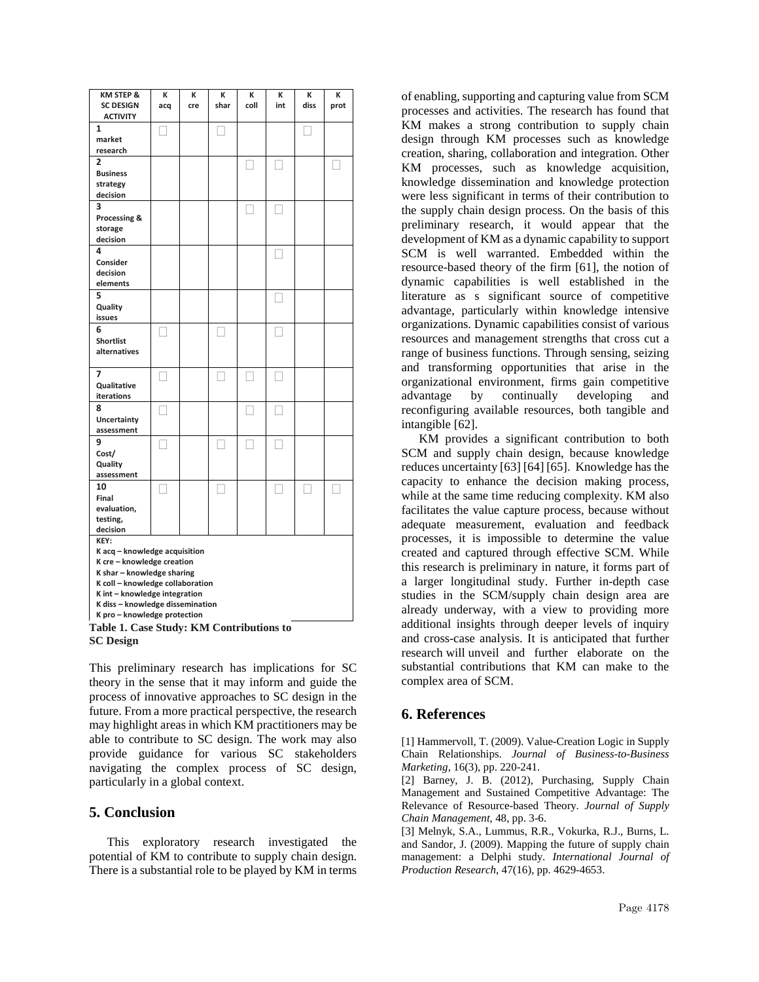| KM STEP &<br><b>SC DESIGN</b>                               | К   | К<br>cre | К<br>shar | К<br>coll | К<br>int | К<br>diss | К    |
|-------------------------------------------------------------|-----|----------|-----------|-----------|----------|-----------|------|
| <b>ACTIVITY</b>                                             | acq |          |           |           |          |           | prot |
| 1                                                           |     |          |           |           |          |           |      |
| market                                                      |     |          |           |           |          |           |      |
| research                                                    |     |          |           |           |          |           |      |
| $\overline{2}$                                              |     |          |           |           |          |           |      |
| <b>Business</b>                                             |     |          |           |           |          |           |      |
| strategy<br>decision                                        |     |          |           |           |          |           |      |
| 3                                                           |     |          |           |           |          |           |      |
| Processing &                                                |     |          |           |           |          |           |      |
| storage                                                     |     |          |           |           |          |           |      |
| decision                                                    |     |          |           |           |          |           |      |
| 4                                                           |     |          |           |           |          |           |      |
| Consider                                                    |     |          |           |           |          |           |      |
| decision                                                    |     |          |           |           |          |           |      |
| elements                                                    |     |          |           |           |          |           |      |
| 5                                                           |     |          |           |           |          |           |      |
| Quality                                                     |     |          |           |           |          |           |      |
| issues<br>6                                                 |     |          |           |           |          |           |      |
| <b>Shortlist</b>                                            |     |          |           |           |          |           |      |
| alternatives                                                |     |          |           |           |          |           |      |
|                                                             |     |          |           |           |          |           |      |
| 7                                                           |     |          |           |           |          |           |      |
| Qualitative                                                 |     |          |           |           |          |           |      |
| iterations                                                  |     |          |           |           |          |           |      |
| 8                                                           |     |          |           |           |          |           |      |
| Uncertainty                                                 |     |          |           |           |          |           |      |
| assessment                                                  |     |          |           |           |          |           |      |
| 9<br>Cost/                                                  |     |          |           |           |          |           |      |
| Quality                                                     |     |          |           |           |          |           |      |
| assessment                                                  |     |          |           |           |          |           |      |
| 10                                                          |     |          |           |           |          |           |      |
| Final                                                       |     |          |           |           |          |           |      |
| evaluation,                                                 |     |          |           |           |          |           |      |
| testing,                                                    |     |          |           |           |          |           |      |
| decision                                                    |     |          |           |           |          |           |      |
| KEY:                                                        |     |          |           |           |          |           |      |
| K acq - knowledge acquisition<br>K cre - knowledge creation |     |          |           |           |          |           |      |
| K shar - knowledge sharing                                  |     |          |           |           |          |           |      |
| K coll - knowledge collaboration                            |     |          |           |           |          |           |      |
| K int - knowledge integration                               |     |          |           |           |          |           |      |
| K diss - knowledge dissemination                            |     |          |           |           |          |           |      |
| K pro - knowledge protection                                |     |          |           |           |          |           |      |
| Table 1. Case Study: KM Contributions to                    |     |          |           |           |          |           |      |

**SC Design**

This preliminary research has implications for SC theory in the sense that it may inform and guide the process of innovative approaches to SC design in the future. From a more practical perspective, the research may highlight areas in which KM practitioners may be able to contribute to SC design. The work may also provide guidance for various SC stakeholders navigating the complex process of SC design, particularly in a global context.

### **5. Conclusion**

This exploratory research investigated the potential of KM to contribute to supply chain design. There is a substantial role to be played by KM in terms of enabling, supporting and capturing value from SCM processes and activities. The research has found that KM makes a strong contribution to supply chain design through KM processes such as knowledge creation, sharing, collaboration and integration. Other KM processes, such as knowledge acquisition, knowledge dissemination and knowledge protection were less significant in terms of their contribution to the supply chain design process. On the basis of this preliminary research, it would appear that the development of KM as a dynamic capability to support SCM is well warranted. Embedded within the resource-based theory of the firm [61], the notion of dynamic capabilities is well established in the literature as s significant source of competitive advantage, particularly within knowledge intensive organizations. Dynamic capabilities consist of various resources and management strengths that cross cut a range of business functions. Through sensing, seizing and transforming opportunities that arise in the organizational environment, firms gain competitive advantage by continually developing and reconfiguring available resources, both tangible and intangible [62].

KM provides a significant contribution to both SCM and supply chain design, because knowledge reduces uncertainty [63] [64] [65]. Knowledge has the capacity to enhance the decision making process, while at the same time reducing complexity. KM also facilitates the value capture process, because without adequate measurement, evaluation and feedback processes, it is impossible to determine the value created and captured through effective SCM. While this research is preliminary in nature, it forms part of a larger longitudinal study. Further in-depth case studies in the SCM/supply chain design area are already underway, with a view to providing more additional insights through deeper levels of inquiry and cross-case analysis. It is anticipated that further research will unveil and further elaborate on the substantial contributions that KM can make to the complex area of SCM.

# **6. References**

[1] Hammervoll, T. (2009). Value-Creation Logic in Supply Chain Relationships. *Journal of Business-to-Business Marketing*, 16(3), pp. 220-241.

[2] Barney, J. B. (2012), Purchasing, Supply Chain Management and Sustained Competitive Advantage: The Relevance of Resource-based Theory. *Journal of Supply Chain Management*, 48, pp. 3-6.

[3] Melnyk, S.A., Lummus, R.R., Vokurka, R.J., Burns, L. and Sandor, J. (2009). Mapping the future of supply chain management: a Delphi study. *International Journal of Production Research*, 47(16), pp. 4629-4653.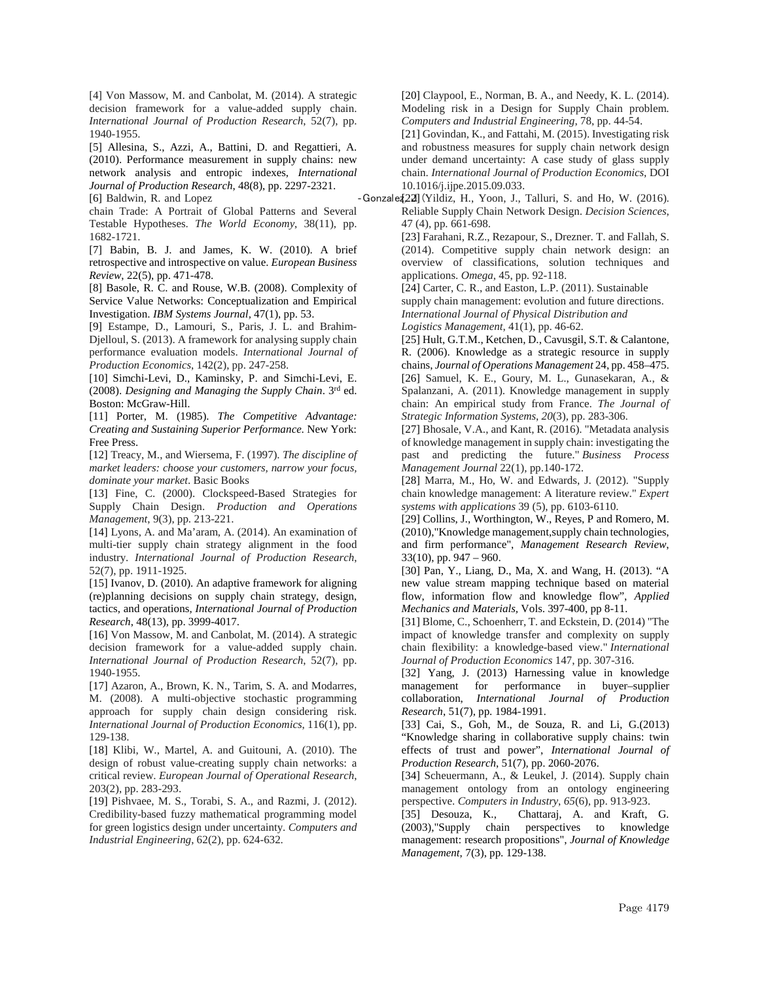[4] Von Massow, M. and Canbolat, M. (2014). A strategic decision framework for a value-added supply chain. *International Journal of Production Research*, 52(7), pp. 1940-1955.

[5] Allesina, S., Azzi, A., Battini, D. and Regattieri, A. (2010). Performance measurement in supply chains: new network analysis and entropic indexes, *International Journal of Production Research*, 48(8), pp. 2297-2321.

chain Trade: A Portrait of Global Patterns and Several Testable Hypotheses. *The World Economy*, 38(11), pp. 1682-1721.

[7] Babin, B. J. and James, K. W. (2010). A brief retrospective and introspective on value. *European Business Review*, 22(5), pp. 471-478.

[8] Basole, R. C. and Rouse, W.B. (2008). Complexity of Service Value Networks: Conceptualization and Empirical Investigation. *IBM Systems Journal,* 47(1), pp. 53.

[9] Estampe, D., Lamouri, S., Paris, J. L. and Brahim-Djelloul, S. (2013). A framework for analysing supply chain performance evaluation models. *International Journal of Production Economics*, 142(2), pp. 247-258.

[10] Simchi-Levi, D., Kaminsky, P. and Simchi-Levi, E. (2008). *Designing and Managing the Supply Chain*. 3rd ed. Boston: McGraw-Hill.

[11] Porter, M. (1985). *The Competitive Advantage: Creating and Sustaining Superior Performance*. New York: Free Press.

[12] Treacy, M., and Wiersema, F. (1997). *The discipline of market leaders: choose your customers, narrow your focus, dominate your market*. Basic Books

[13] Fine, C. (2000). Clockspeed-Based Strategies for Supply Chain Design. *Production and Operations Management*, 9(3), pp. 213-221.

[14] Lyons, A. and Ma'aram, A. (2014). An examination of multi-tier supply chain strategy alignment in the food industry. *International Journal of Production Research*, 52(7), pp. 1911-1925.

[15] Ivanov, D. (2010). An adaptive framework for aligning (re)planning decisions on supply chain strategy, design, tactics, and operations, *International Journal of Production Research*, 48(13), pp. 3999-4017.

[16] Von Massow, M. and Canbolat, M. (2014). A strategic decision framework for a value-added supply chain. *International Journal of Production Research*, 52(7), pp. 1940-1955.

[17] Azaron, A., Brown, K. N., Tarim, S. A. and Modarres, M. (2008). A multi-objective stochastic programming approach for supply chain design considering risk. *International Journal of Production Economics*, 116(1), pp. 129-138.

[18] Klibi, W., Martel, A. and Guitouni, A. (2010). The design of robust value-creating supply chain networks: a critical review. *European Journal of Operational Research*, 203(2), pp. 283-293.

[19] Pishvaee, M. S., Torabi, S. A., and Razmi, J. (2012). Credibility-based fuzzy mathematical programming model for green logistics design under uncertainty. *Computers and Industrial Engineering*, 62(2), pp. 624-632.

[20] Claypool, E., Norman, B. A., and Needy, K. L. (2014). Modeling risk in a Design for Supply Chain problem. *Computers and Industrial Engineering*, 78, pp. 44-54.

[21] Govindan, K., and Fattahi, M. (2015). Investigating risk and robustness measures for supply chain network design under demand uncertainty: A case study of glass supply chain. *International Journal of Production Economics*, DOI 10.1016/j.ijpe.2015.09.033.

[6] Baldwin, R. and Lopez **• Gonzalez, J. (2016).** Supply (2016). Supplying State 3. (2016). Reliable Supply Chain Network Design. *Decision Sciences*, 47 (4), pp. 661-698.

> [23] Farahani, R.Z., Rezapour, S., Drezner. T. and Fallah, S. (2014). Competitive supply chain network design: an overview of classifications, solution techniques and applications. *Omega*, 45, pp. 92-118.

[24] Carter, C. R., and Easton, L.P. (2011). Sustainable

supply chain management: evolution and future directions. *International Journal of Physical Distribution and* 

*Logistics Management*, 41(1), pp. 46-62.

[25] Hult, G.T.M., Ketchen, D., Cavusgil, S.T. & Calantone, R. (2006). Knowledge as a strategic resource in supply chains, *Journal of Operations Management* 24, pp. 458–475. [26] Samuel, K. E., Goury, M. L., Gunasekaran, A., & Spalanzani, A. (2011). Knowledge management in supply chain: An empirical study from France. *The Journal of Strategic Information Systems*, *20*(3), pp. 283-306.

[27] Bhosale, V.A., and Kant, R. (2016). "Metadata analysis of knowledge management in supply chain: investigating the past and predicting the future." *Business Process Management Journal* 22(1), pp.140-172.

[28] Marra, M., Ho, W. and Edwards, J. (2012). "Supply chain knowledge management: A literature review." *Expert systems with applications* 39 (5), pp. 6103-6110.

[29] Collins, J., Worthington, W., Reyes, P and Romero, M. (2010),"Knowledge management,supply chain technologies, and firm performance", *Management Research Review*, 33(10), pp. 947 – 960.

[30] Pan, Y., Liang, D., Ma, X. and Wang, H. (2013). "A new value stream mapping technique based on material flow, information flow and knowledge flow", *Applied Mechanics and Materials,* Vols. 397-400, pp 8-11.

[31] Blome, C., Schoenherr, T. and Eckstein, D. (2014) "The impact of knowledge transfer and complexity on supply chain flexibility: a knowledge-based view." *International Journal of Production Economics* 147, pp. 307-316.

[32] Yang, J. (2013) Harnessing value in knowledge management for performance in buyer–supplier collaboration, *International Journal of Production Research*, 51(7), pp. 1984-1991.

[33] Cai, S., Goh, M., de Souza, R. and Li, G.(2013) "Knowledge sharing in collaborative supply chains: twin effects of trust and power", *International Journal of Production Research*, 51(7), pp. 2060-2076.

[34] Scheuermann, A., & Leukel, J. (2014). Supply chain management ontology from an ontology engineering perspective. *Computers in Industry*, *65*(6), pp. 913-923.

[35] Desouza, K., Chattaraj, A. and Kraft, G. (2003),"Supply chain perspectives to knowledge management: research propositions", *Journal of Knowledge Management*, 7(3), pp. 129-138.